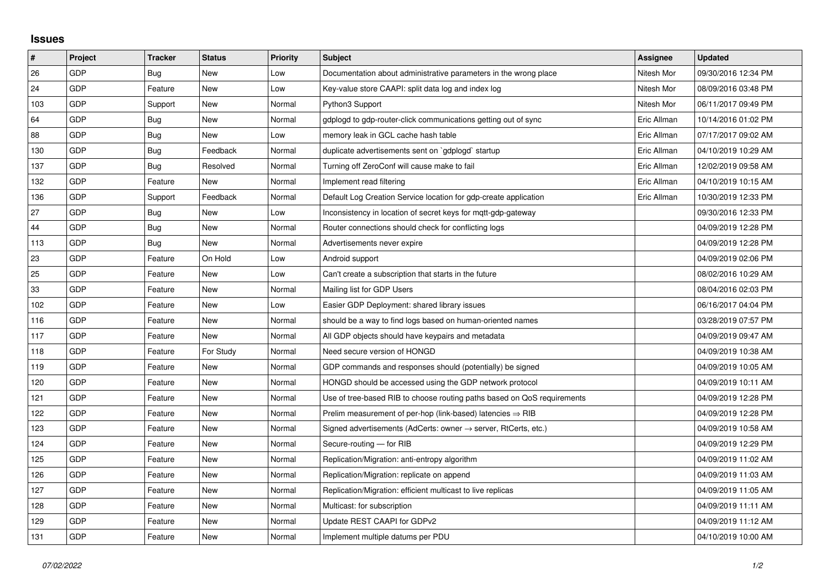## **Issues**

| $\vert$ # | Project    | <b>Tracker</b> | <b>Status</b> | <b>Priority</b> | <b>Subject</b>                                                             | Assignee    | <b>Updated</b>      |
|-----------|------------|----------------|---------------|-----------------|----------------------------------------------------------------------------|-------------|---------------------|
| 26        | GDP        | Bug            | <b>New</b>    | Low             | Documentation about administrative parameters in the wrong place           | Nitesh Mor  | 09/30/2016 12:34 PM |
| 24        | <b>GDP</b> | Feature        | <b>New</b>    | Low             | Key-value store CAAPI: split data log and index log                        | Nitesh Mor  | 08/09/2016 03:48 PM |
| 103       | <b>GDP</b> | Support        | <b>New</b>    | Normal          | Python3 Support                                                            | Nitesh Mor  | 06/11/2017 09:49 PM |
| 64        | GDP        | <b>Bug</b>     | <b>New</b>    | Normal          | gdplogd to gdp-router-click communications getting out of sync             | Eric Allman | 10/14/2016 01:02 PM |
| 88        | <b>GDP</b> | Bug            | <b>New</b>    | Low             | memory leak in GCL cache hash table                                        | Eric Allman | 07/17/2017 09:02 AM |
| 130       | <b>GDP</b> | Bug            | Feedback      | Normal          | duplicate advertisements sent on `gdplogd` startup                         | Eric Allman | 04/10/2019 10:29 AM |
| 137       | GDP        | Bug            | Resolved      | Normal          | Turning off ZeroConf will cause make to fail                               | Eric Allman | 12/02/2019 09:58 AM |
| 132       | GDP        | Feature        | <b>New</b>    | Normal          | Implement read filtering                                                   | Eric Allman | 04/10/2019 10:15 AM |
| 136       | <b>GDP</b> | Support        | Feedback      | Normal          | Default Log Creation Service location for gdp-create application           | Eric Allman | 10/30/2019 12:33 PM |
| 27        | <b>GDP</b> | Bug            | <b>New</b>    | Low             | Inconsistency in location of secret keys for mqtt-gdp-gateway              |             | 09/30/2016 12:33 PM |
| 44        | GDP        | Bug            | <b>New</b>    | Normal          | Router connections should check for conflicting logs                       |             | 04/09/2019 12:28 PM |
| 113       | <b>GDP</b> | Bug            | <b>New</b>    | Normal          | Advertisements never expire                                                |             | 04/09/2019 12:28 PM |
| 23        | <b>GDP</b> | Feature        | On Hold       | Low             | Android support                                                            |             | 04/09/2019 02:06 PM |
| 25        | GDP        | Feature        | <b>New</b>    | Low             | Can't create a subscription that starts in the future                      |             | 08/02/2016 10:29 AM |
| 33        | <b>GDP</b> | Feature        | <b>New</b>    | Normal          | Mailing list for GDP Users                                                 |             | 08/04/2016 02:03 PM |
| 102       | <b>GDP</b> | Feature        | <b>New</b>    | Low             | Easier GDP Deployment: shared library issues                               |             | 06/16/2017 04:04 PM |
| 116       | GDP        | Feature        | <b>New</b>    | Normal          | should be a way to find logs based on human-oriented names                 |             | 03/28/2019 07:57 PM |
| 117       | <b>GDP</b> | Feature        | <b>New</b>    | Normal          | All GDP objects should have keypairs and metadata                          |             | 04/09/2019 09:47 AM |
| 118       | <b>GDP</b> | Feature        | For Study     | Normal          | Need secure version of HONGD                                               |             | 04/09/2019 10:38 AM |
| 119       | GDP        | Feature        | <b>New</b>    | Normal          | GDP commands and responses should (potentially) be signed                  |             | 04/09/2019 10:05 AM |
| 120       | <b>GDP</b> | Feature        | <b>New</b>    | Normal          | HONGD should be accessed using the GDP network protocol                    |             | 04/09/2019 10:11 AM |
| 121       | <b>GDP</b> | Feature        | <b>New</b>    | Normal          | Use of tree-based RIB to choose routing paths based on QoS requirements    |             | 04/09/2019 12:28 PM |
| 122       | GDP        | Feature        | New           | Normal          | Prelim measurement of per-hop (link-based) latencies $\Rightarrow$ RIB     |             | 04/09/2019 12:28 PM |
| 123       | <b>GDP</b> | Feature        | <b>New</b>    | Normal          | Signed advertisements (AdCerts: owner $\rightarrow$ server, RtCerts, etc.) |             | 04/09/2019 10:58 AM |
| 124       | <b>GDP</b> | Feature        | <b>New</b>    | Normal          | Secure-routing - for RIB                                                   |             | 04/09/2019 12:29 PM |
| 125       | GDP        | Feature        | New           | Normal          | Replication/Migration: anti-entropy algorithm                              |             | 04/09/2019 11:02 AM |
| 126       | GDP        | Feature        | <b>New</b>    | Normal          | Replication/Migration: replicate on append                                 |             | 04/09/2019 11:03 AM |
| 127       | <b>GDP</b> | Feature        | <b>New</b>    | Normal          | Replication/Migration: efficient multicast to live replicas                |             | 04/09/2019 11:05 AM |
| 128       | GDP        | Feature        | <b>New</b>    | Normal          | Multicast: for subscription                                                |             | 04/09/2019 11:11 AM |
| 129       | GDP        | Feature        | <b>New</b>    | Normal          | Update REST CAAPI for GDPv2                                                |             | 04/09/2019 11:12 AM |
| 131       | <b>GDP</b> | Feature        | <b>New</b>    | Normal          | Implement multiple datums per PDU                                          |             | 04/10/2019 10:00 AM |